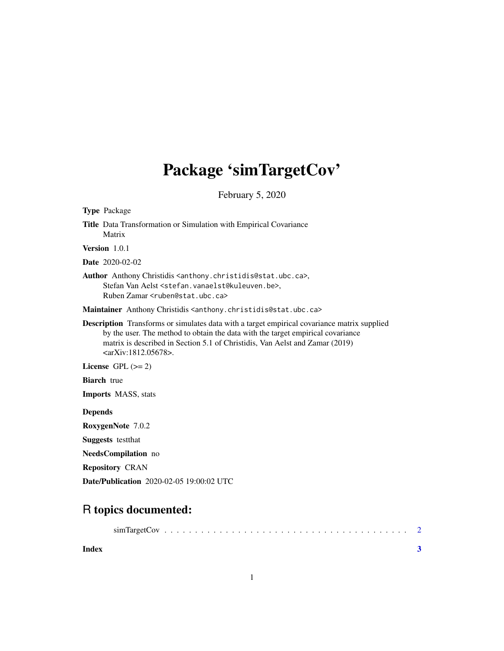# Package 'simTargetCov'

February 5, 2020

| <b>Type Package</b>                                                                                                                                                                                                                                                                                                 |
|---------------------------------------------------------------------------------------------------------------------------------------------------------------------------------------------------------------------------------------------------------------------------------------------------------------------|
| Title Data Transformation or Simulation with Empirical Covariance<br>Matrix                                                                                                                                                                                                                                         |
| Version $1.0.1$                                                                                                                                                                                                                                                                                                     |
| <b>Date</b> 2020-02-02                                                                                                                                                                                                                                                                                              |
| Author Anthony Christidis <anthony.christidis@stat.ubc.ca>,<br/>Stefan Van Aelst <stefan. vanaelst@kuleuven.be="">,<br/>Ruben Zamar <ruben@stat.ubc.ca></ruben@stat.ubc.ca></stefan.></anthony.christidis@stat.ubc.ca>                                                                                              |
| Maintainer Anthony Christidis <anthony.christidis@stat.ubc.ca></anthony.christidis@stat.ubc.ca>                                                                                                                                                                                                                     |
| <b>Description</b> Transforms or simulates data with a target empirical covariance matrix supplied<br>by the user. The method to obtain the data with the target empirical covariance<br>matrix is described in Section 5.1 of Christidis, Van Aelst and Zamar (2019)<br>$\langle \text{arXiv:1812.05678}\rangle$ . |
| License $GPL (= 2)$                                                                                                                                                                                                                                                                                                 |
| <b>Biarch</b> true                                                                                                                                                                                                                                                                                                  |
| <b>Imports</b> MASS, stats                                                                                                                                                                                                                                                                                          |
| <b>Depends</b>                                                                                                                                                                                                                                                                                                      |
| RoxygenNote 7.0.2                                                                                                                                                                                                                                                                                                   |
| <b>Suggests</b> test that                                                                                                                                                                                                                                                                                           |
| <b>NeedsCompilation</b> no                                                                                                                                                                                                                                                                                          |
| <b>Repository CRAN</b>                                                                                                                                                                                                                                                                                              |
| <b>Date/Publication</b> 2020-02-05 19:00:02 UTC                                                                                                                                                                                                                                                                     |

# R topics documented:

| Index |  |  |  |  |  |  |  |  |  |  |  |  |  |
|-------|--|--|--|--|--|--|--|--|--|--|--|--|--|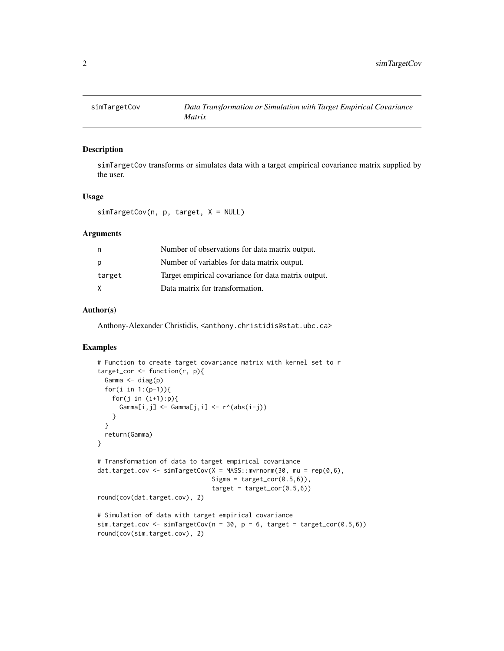<span id="page-1-0"></span>

## Description

simTargetCov transforms or simulates data with a target empirical covariance matrix supplied by the user.

#### Usage

simTargetCov(n, p, target, X = NULL)

#### **Arguments**

| n      | Number of observations for data matrix output.      |
|--------|-----------------------------------------------------|
| p      | Number of variables for data matrix output.         |
| target | Target empirical covariance for data matrix output. |
| X      | Data matrix for transformation.                     |

### Author(s)

Anthony-Alexander Christidis, <anthony.christidis@stat.ubc.ca>

## Examples

```
# Function to create target covariance matrix with kernel set to r
target_cor <- function(r, p){
 Gamma <- diag(p)
 for(i in 1:(p-1)){
   for(j in (i+1):p){
     Gamma[i,j] <- Gamma[j,i] <- r^*(abs(i-j))}
 }
 return(Gamma)
}
# Transformation of data to target empirical covariance
dat.target.cov <- simTargetCov(X = MASS::mvrnorm(30, mu = rep(0,6),
                               Sigma = target\_cor(0.5, 6),
                               target = target\_cor(0.5, 6)round(cov(dat.target.cov), 2)
# Simulation of data with target empirical covariance
sim.target.cov <- simTargetCov(n = 30, p = 6, target = target_cor(0.5, 6))
round(cov(sim.target.cov), 2)
```